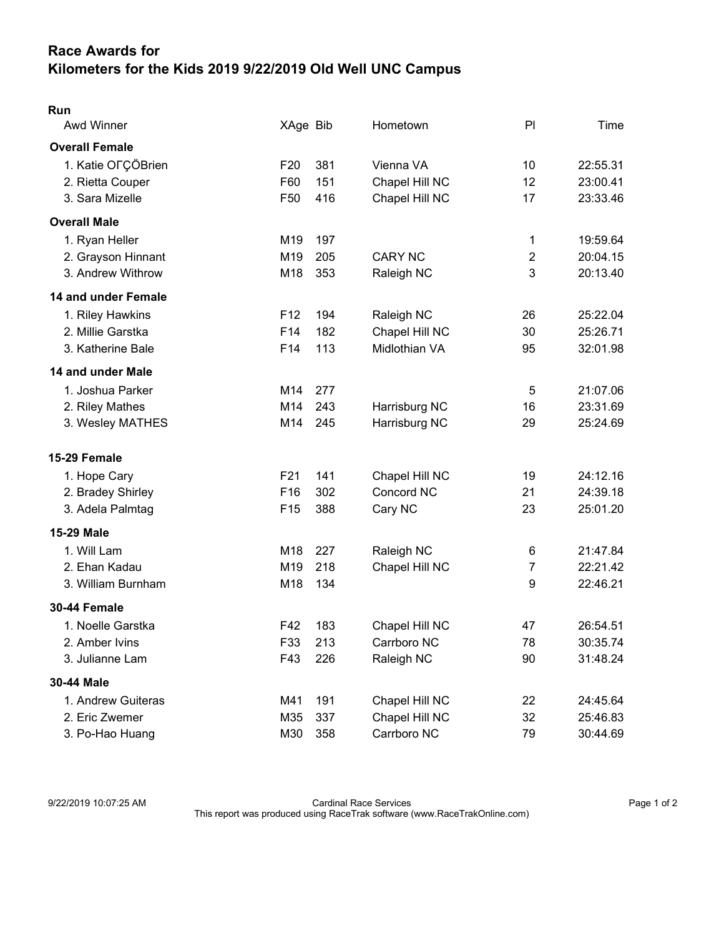## Race Awards for Kilometers for the Kids 2019 9/22/2019 Old Well UNC Campus

| Run                   |                 |     |                |                  |          |
|-----------------------|-----------------|-----|----------------|------------------|----------|
| Awd Winner            | XAge Bib        |     | Hometown       | PI               | Time     |
| <b>Overall Female</b> |                 |     |                |                  |          |
| 1. Katie OFÇÖBrien    | F <sub>20</sub> | 381 | Vienna VA      | 10               | 22:55.31 |
| 2. Rietta Couper      | F60             | 151 | Chapel Hill NC | 12               | 23:00.41 |
| 3. Sara Mizelle       | F <sub>50</sub> | 416 | Chapel Hill NC | 17               | 23:33.46 |
| <b>Overall Male</b>   |                 |     |                |                  |          |
| 1. Ryan Heller        | M <sub>19</sub> | 197 |                | 1                | 19:59.64 |
| 2. Grayson Hinnant    | M <sub>19</sub> | 205 | <b>CARY NC</b> | $\overline{2}$   | 20:04.15 |
| 3. Andrew Withrow     | M18             | 353 | Raleigh NC     | 3                | 20:13.40 |
| 14 and under Female   |                 |     |                |                  |          |
| 1. Riley Hawkins      | F <sub>12</sub> | 194 | Raleigh NC     | 26               | 25:22.04 |
| 2. Millie Garstka     | F14             | 182 | Chapel Hill NC | 30               | 25:26.71 |
| 3. Katherine Bale     | F14             | 113 | Midlothian VA  | 95               | 32:01.98 |
| 14 and under Male     |                 |     |                |                  |          |
| 1. Joshua Parker      | M14             | 277 |                | 5                | 21:07.06 |
| 2. Riley Mathes       | M14             | 243 | Harrisburg NC  | 16               | 23:31.69 |
| 3. Wesley MATHES      | M14             | 245 | Harrisburg NC  | 29               | 25:24.69 |
| 15-29 Female          |                 |     |                |                  |          |
| 1. Hope Cary          | F <sub>21</sub> | 141 | Chapel Hill NC | 19               | 24:12.16 |
| 2. Bradey Shirley     | F16             | 302 | Concord NC     | 21               | 24:39.18 |
| 3. Adela Palmtag      | F <sub>15</sub> | 388 | Cary NC        | 23               | 25:01.20 |
| <b>15-29 Male</b>     |                 |     |                |                  |          |
| 1. Will Lam           | M18             | 227 | Raleigh NC     | 6                | 21:47.84 |
| 2. Ehan Kadau         | M <sub>19</sub> | 218 | Chapel Hill NC | 7                | 22:21.42 |
| 3. William Burnham    | M18             | 134 |                | $\boldsymbol{9}$ | 22:46.21 |
| 30-44 Female          |                 |     |                |                  |          |
| 1. Noelle Garstka     | F42             | 183 | Chapel Hill NC | 47               | 26:54.51 |
| 2. Amber Ivins        | F33             | 213 | Carrboro NC    | 78               | 30:35.74 |
| 3. Julianne Lam       | F43             | 226 | Raleigh NC     | 90               | 31:48.24 |
| 30-44 Male            |                 |     |                |                  |          |
| 1. Andrew Guiteras    | M41             | 191 | Chapel Hill NC | 22               | 24:45.64 |
| 2. Eric Zwemer        | M35             | 337 | Chapel Hill NC | 32               | 25:46.83 |
| 3. Po-Hao Huang       | M30             | 358 | Carrboro NC    | 79               | 30:44.69 |

9/22/2019 10:07:25 AM Cardinal Race Services Page 1 of 2 This report was produced using RaceTrak software (www.RaceTrakOnline.com)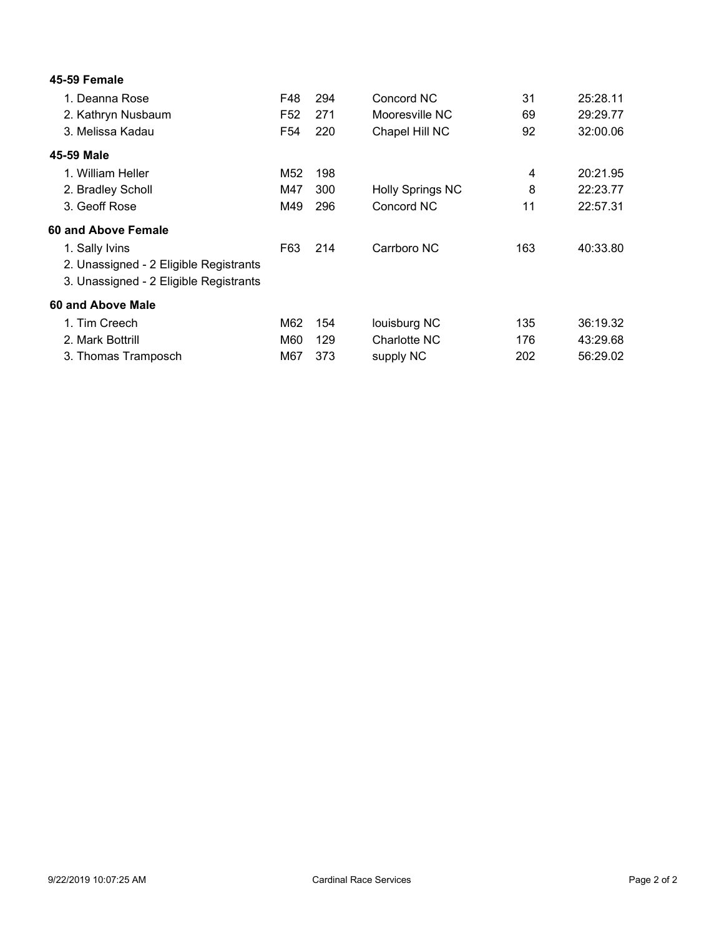| 45-59 Female                           |                 |     |                         |     |          |
|----------------------------------------|-----------------|-----|-------------------------|-----|----------|
| 1. Deanna Rose                         | F48             | 294 | Concord NC              | 31  | 25:28.11 |
| 2. Kathryn Nusbaum                     | F52             | 271 | Mooresville NC          | 69  | 29:29.77 |
| 3. Melissa Kadau                       | F <sub>54</sub> | 220 | Chapel Hill NC          | 92  | 32:00.06 |
| 45-59 Male                             |                 |     |                         |     |          |
| 1. William Heller                      | M52             | 198 |                         | 4   | 20:21.95 |
| 2. Bradley Scholl                      | M47             | 300 | <b>Holly Springs NC</b> | 8   | 22:23.77 |
| 3. Geoff Rose                          | M49             | 296 | Concord NC              | 11  | 22:57.31 |
| 60 and Above Female                    |                 |     |                         |     |          |
| 1. Sally Ivins                         | F63             | 214 | Carrboro NC             | 163 | 40:33.80 |
| 2. Unassigned - 2 Eligible Registrants |                 |     |                         |     |          |
| 3. Unassigned - 2 Eligible Registrants |                 |     |                         |     |          |
| 60 and Above Male                      |                 |     |                         |     |          |
| 1. Tim Creech                          | M62             | 154 | louisburg NC            | 135 | 36:19.32 |
| 2. Mark Bottrill                       | M60             | 129 | Charlotte NC            | 176 | 43:29.68 |
| 3. Thomas Tramposch                    | M67             | 373 | supply NC               | 202 | 56:29.02 |